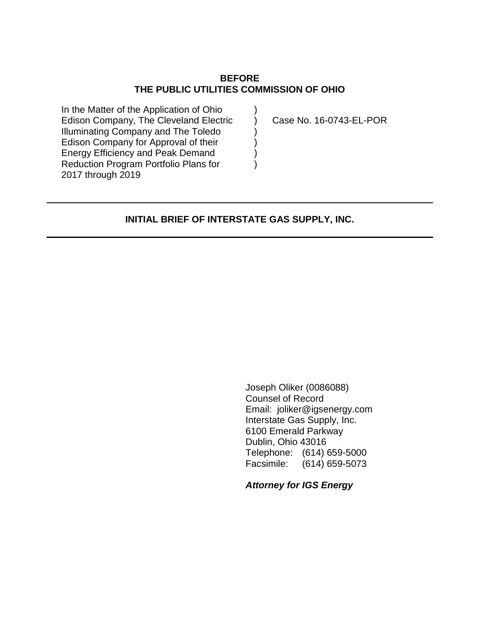## **BEFORE THE PUBLIC UTILITIES COMMISSION OF OHIO**

 $\lambda$  $\lambda$ ) ) ) )

In the Matter of the Application of Ohio Edison Company, The Cleveland Electric Illuminating Company and The Toledo Edison Company for Approval of their Energy Efficiency and Peak Demand Reduction Program Portfolio Plans for 2017 through 2019

Case No. 16-0743-EL-POR

### **INITIAL BRIEF OF INTERSTATE GAS SUPPLY, INC.**

Joseph Oliker (0086088) Counsel of Record Email: joliker@igsenergy.com Interstate Gas Supply, Inc. 6100 Emerald Parkway Dublin, Ohio 43016 Telephone: (614) 659-5000 Facsimile: (614) 659-5073

*Attorney for IGS Energy*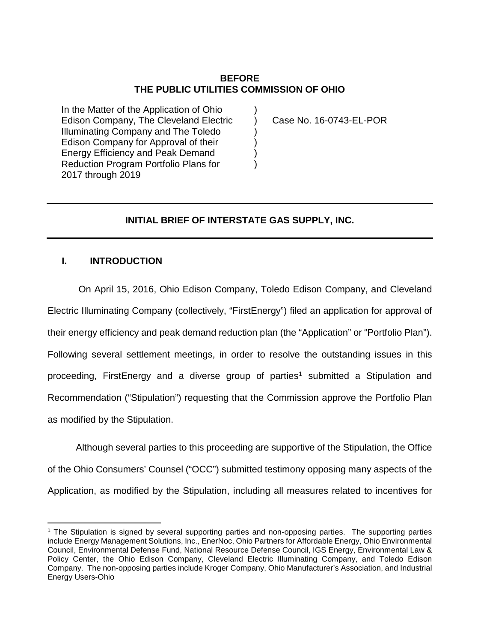# **BEFORE THE PUBLIC UTILITIES COMMISSION OF OHIO**

)  $\lambda$ ) ) ) )

In the Matter of the Application of Ohio Edison Company, The Cleveland Electric Illuminating Company and The Toledo Edison Company for Approval of their Energy Efficiency and Peak Demand Reduction Program Portfolio Plans for 2017 through 2019

Case No. 16-0743-EL-POR

# **INITIAL BRIEF OF INTERSTATE GAS SUPPLY, INC.**

### **I. INTRODUCTION**

 $\overline{a}$ 

On April 15, 2016, Ohio Edison Company, Toledo Edison Company, and Cleveland Electric Illuminating Company (collectively, "FirstEnergy") filed an application for approval of their energy efficiency and peak demand reduction plan (the "Application" or "Portfolio Plan"). Following several settlement meetings, in order to resolve the outstanding issues in this proceeding, FirstEnergy and a diverse group of parties<sup>[1](#page-1-0)</sup> submitted a Stipulation and Recommendation ("Stipulation") requesting that the Commission approve the Portfolio Plan as modified by the Stipulation.

Although several parties to this proceeding are supportive of the Stipulation, the Office of the Ohio Consumers' Counsel ("OCC") submitted testimony opposing many aspects of the Application, as modified by the Stipulation, including all measures related to incentives for

<span id="page-1-0"></span><sup>1</sup> The Stipulation is signed by several supporting parties and non-opposing parties. The supporting parties include Energy Management Solutions, Inc., EnerNoc, Ohio Partners for Affordable Energy, Ohio Environmental Council, Environmental Defense Fund, National Resource Defense Council, IGS Energy, Environmental Law & Policy Center, the Ohio Edison Company, Cleveland Electric Illuminating Company, and Toledo Edison Company. The non-opposing parties include Kroger Company, Ohio Manufacturer's Association, and Industrial Energy Users-Ohio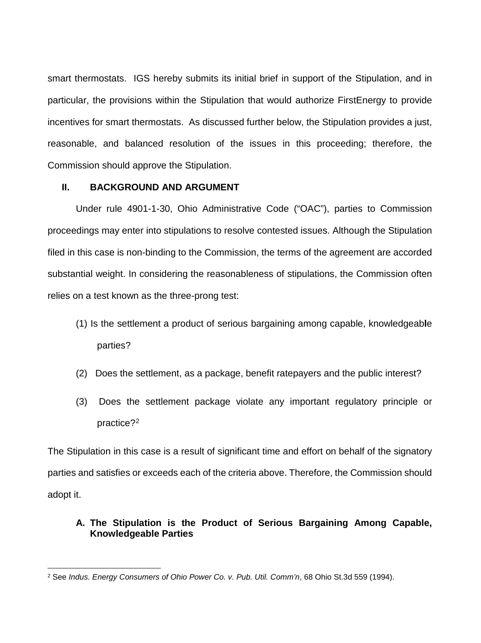smart thermostats. IGS hereby submits its initial brief in support of the Stipulation, and in particular, the provisions within the Stipulation that would authorize FirstEnergy to provide incentives for smart thermostats. As discussed further below, the Stipulation provides a just, reasonable, and balanced resolution of the issues in this proceeding; therefore, the Commission should approve the Stipulation.

## **II. BACKGROUND AND ARGUMENT**

Under rule 4901-1-30, Ohio Administrative Code ("OAC"), parties to Commission proceedings may enter into stipulations to resolve contested issues. Although the Stipulation filed in this case is non-binding to the Commission, the terms of the agreement are accorded substantial weight. In considering the reasonableness of stipulations, the Commission often relies on a test known as the three-prong test:

- (1) Is the settlement a product of serious bargaining among capable, knowledgeab**l**e parties?
- (2) Does the settlement, as a package, benefit ratepayers and the public interest?
- (3) Does the settlement package violate any important regulatory principle or practice?[2](#page-2-0)

The Stipulation in this case is a result of significant time and effort on behalf of the signatory parties and satisfies or exceeds each of the criteria above. Therefore, the Commission should adopt it.

# **A. The Stipulation is the Product of Serious Bargaining Among Capable, Knowledgeable Parties**

<span id="page-2-0"></span> $\overline{a}$ <sup>2</sup> See *Indus. Energy Consumers of Ohio Power Co. v. Pub. Util. Comm'n*, 68 Ohio St.3d 559 (1994).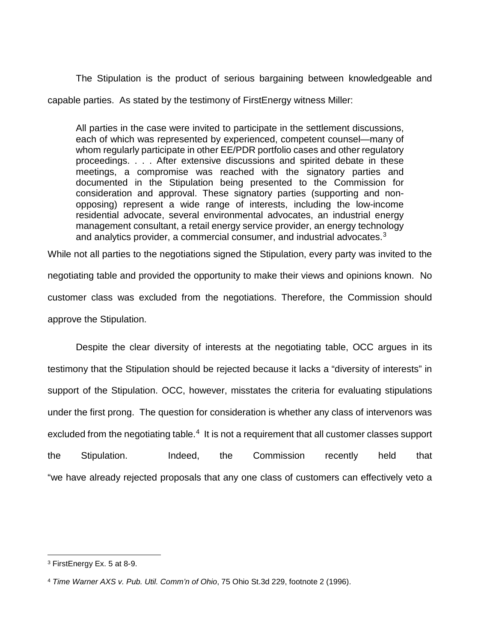The Stipulation is the product of serious bargaining between knowledgeable and capable parties. As stated by the testimony of FirstEnergy witness Miller:

All parties in the case were invited to participate in the settlement discussions, each of which was represented by experienced, competent counsel—many of whom regularly participate in other EE/PDR portfolio cases and other regulatory proceedings. . . . After extensive discussions and spirited debate in these meetings, a compromise was reached with the signatory parties and documented in the Stipulation being presented to the Commission for consideration and approval. These signatory parties (supporting and nonopposing) represent a wide range of interests, including the low-income residential advocate, several environmental advocates, an industrial energy management consultant, a retail energy service provider, an energy technology and analytics provider, a commercial consumer, and industrial advocates.<sup>[3](#page-3-1)</sup>

While not all parties to the negotiations signed the Stipulation, every party was invited to the negotiating table and provided the opportunity to make their views and opinions known. No customer class was excluded from the negotiations. Therefore, the Commission should approve the Stipulation.

Despite the clear diversity of interests at the negotiating table, OCC argues in its testimony that the Stipulation should be rejected because it lacks a "diversity of interests" in support of the Stipulation. OCC, however, misstates the criteria for evaluating stipulations under the first prong. The question for consideration is whether any class of intervenors was excluded from the negotiating table. $4\,$  It is not a requirement that all customer classes support the Stipulation. Indeed, the Commission recently held that "we have already rejected proposals that any one class of customers can effectively veto a

<span id="page-3-1"></span><sup>3</sup> FirstEnergy Ex. 5 at 8-9.

<span id="page-3-0"></span><sup>4</sup> *Time Warner AXS v. Pub. Util. Comm'n of Ohio*, 75 Ohio St.3d 229, footnote 2 (1996).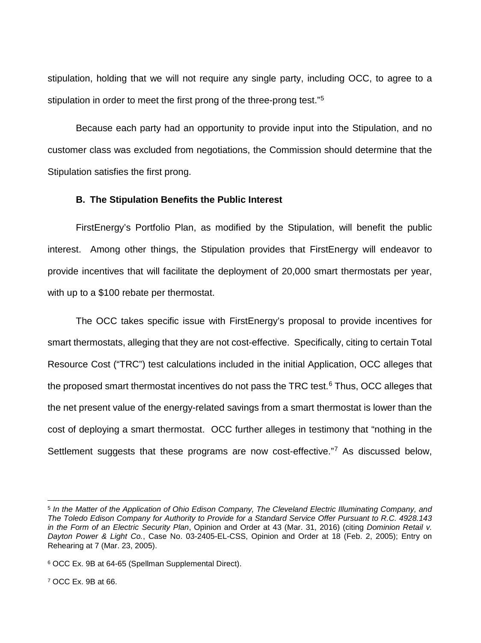stipulation, holding that we will not require any single party, including OCC, to agree to a stipulation in order to meet the first prong of the three-prong test."<sup>[5](#page-4-2)</sup>

Because each party had an opportunity to provide input into the Stipulation, and no customer class was excluded from negotiations, the Commission should determine that the Stipulation satisfies the first prong.

#### **B. The Stipulation Benefits the Public Interest**

FirstEnergy's Portfolio Plan, as modified by the Stipulation, will benefit the public interest. Among other things, the Stipulation provides that FirstEnergy will endeavor to provide incentives that will facilitate the deployment of 20,000 smart thermostats per year, with up to a \$100 rebate per thermostat.

The OCC takes specific issue with FirstEnergy's proposal to provide incentives for smart thermostats, alleging that they are not cost-effective. Specifically, citing to certain Total Resource Cost ("TRC") test calculations included in the initial Application, OCC alleges that the proposed smart thermostat incentives do not pass the TRC test.<sup>6</sup> Thus, OCC alleges that the net present value of the energy-related savings from a smart thermostat is lower than the cost of deploying a smart thermostat. OCC further alleges in testimony that "nothing in the Settlement suggests that these programs are now cost-effective."<sup>[7](#page-4-0)</sup> As discussed below,

<span id="page-4-2"></span><sup>5</sup> *In the Matter of the Application of Ohio Edison Company, The Cleveland Electric Illuminating Company, and The Toledo Edison Company for Authority to Provide for a Standard Service Offer Pursuant to R.C. 4928.143 in the Form of an Electric Security Plan*, Opinion and Order at 43 (Mar. 31, 2016) (citing *Dominion Retail v. Dayton Power & Light Co.*, Case No. 03-2405-EL-CSS, Opinion and Order at 18 (Feb. 2, 2005); Entry on Rehearing at 7 (Mar. 23, 2005).

<span id="page-4-1"></span><span id="page-4-0"></span><sup>6</sup> OCC Ex. 9B at 64-65 (Spellman Supplemental Direct).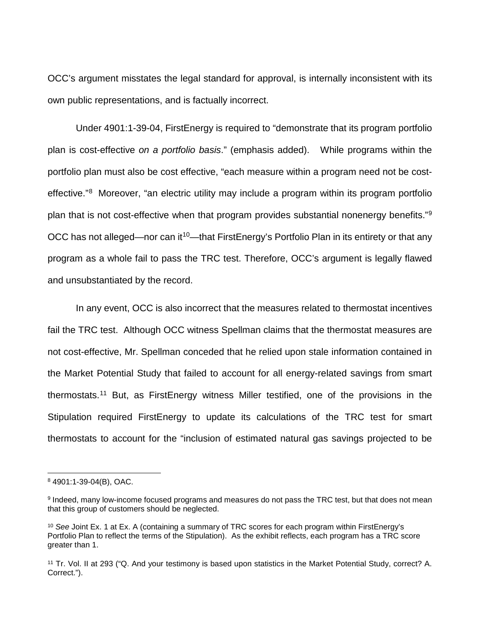OCC's argument misstates the legal standard for approval, is internally inconsistent with its own public representations, and is factually incorrect.

Under 4901:1-39-04, FirstEnergy is required to "demonstrate that its program portfolio plan is cost-effective *on a portfolio basis*." (emphasis added). While programs within the portfolio plan must also be cost effective, "each measure within a program need not be cost-effective."<sup>[8](#page-5-2)</sup> Moreover, "an electric utility may include a program within its program portfolio plan that is not cost-effective when that program provides substantial nonenergy benefits."[9](#page-5-3) OCC has not alleged—nor can it<sup>[10](#page-5-0)</sup>—that FirstEnergy's Portfolio Plan in its entirety or that any program as a whole fail to pass the TRC test. Therefore, OCC's argument is legally flawed and unsubstantiated by the record.

In any event, OCC is also incorrect that the measures related to thermostat incentives fail the TRC test. Although OCC witness Spellman claims that the thermostat measures are not cost-effective, Mr. Spellman conceded that he relied upon stale information contained in the Market Potential Study that failed to account for all energy-related savings from smart thermostats.[11](#page-5-1) But, as FirstEnergy witness Miller testified, one of the provisions in the Stipulation required FirstEnergy to update its calculations of the TRC test for smart thermostats to account for the "inclusion of estimated natural gas savings projected to be

l

<span id="page-5-2"></span><sup>8</sup> 4901:1-39-04(B), OAC.

<span id="page-5-3"></span><sup>9</sup> Indeed, many low-income focused programs and measures do not pass the TRC test, but that does not mean that this group of customers should be neglected.

<span id="page-5-0"></span><sup>10</sup> *See* Joint Ex. 1 at Ex. A (containing a summary of TRC scores for each program within FirstEnergy's Portfolio Plan to reflect the terms of the Stipulation). As the exhibit reflects, each program has a TRC score greater than 1.

<span id="page-5-1"></span><sup>11</sup> Tr. Vol. II at 293 ("Q. And your testimony is based upon statistics in the Market Potential Study, correct? A. Correct.").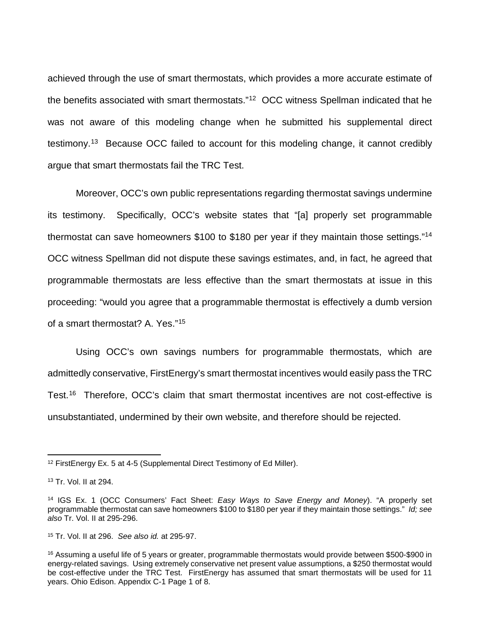achieved through the use of smart thermostats, which provides a more accurate estimate of the benefits associated with smart thermostats."[12](#page-6-3) OCC witness Spellman indicated that he was not aware of this modeling change when he submitted his supplemental direct testimony.[13](#page-6-4) Because OCC failed to account for this modeling change, it cannot credibly argue that smart thermostats fail the TRC Test.

Moreover, OCC's own public representations regarding thermostat savings undermine its testimony. Specifically, OCC's website states that "[a] properly set programmable thermostat can save homeowners \$100 to \$180 per year if they maintain those settings."<sup>14</sup> OCC witness Spellman did not dispute these savings estimates, and, in fact, he agreed that programmable thermostats are less effective than the smart thermostats at issue in this proceeding: "would you agree that a programmable thermostat is effectively a dumb version of a smart thermostat? A. Yes."[15](#page-6-0)

Using OCC's own savings numbers for programmable thermostats, which are admittedly conservative, FirstEnergy's smart thermostat incentives would easily pass the TRC Test.[16](#page-6-1) Therefore, OCC's claim that smart thermostat incentives are not cost-effective is unsubstantiated, undermined by their own website, and therefore should be rejected.

<span id="page-6-3"></span><sup>&</sup>lt;sup>12</sup> FirstEnergy Ex. 5 at 4-5 (Supplemental Direct Testimony of Ed Miller).

<span id="page-6-4"></span><sup>13</sup> Tr. Vol. II at 294.

<span id="page-6-2"></span><sup>14</sup> IGS Ex. 1 (OCC Consumers' Fact Sheet: *Easy Ways to Save Energy and Money*). "A properly set programmable thermostat can save homeowners \$100 to \$180 per year if they maintain those settings." *Id; see also* Tr. Vol. II at 295-296.

<span id="page-6-0"></span><sup>15</sup> Tr. Vol. II at 296. *See also id.* at 295-97.

<span id="page-6-1"></span><sup>&</sup>lt;sup>16</sup> Assuming a useful life of 5 years or greater, programmable thermostats would provide between \$500-\$900 in energy-related savings. Using extremely conservative net present value assumptions, a \$250 thermostat would be cost-effective under the TRC Test. FirstEnergy has assumed that smart thermostats will be used for 11 years. Ohio Edison. Appendix C-1 Page 1 of 8.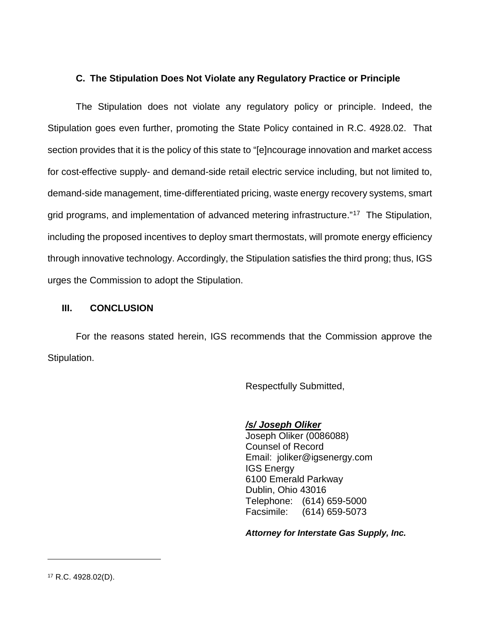# **C. The Stipulation Does Not Violate any Regulatory Practice or Principle**

The Stipulation does not violate any regulatory policy or principle. Indeed, the Stipulation goes even further, promoting the State Policy contained in R.C. 4928.02. That section provides that it is the policy of this state to "[e]ncourage innovation and market access for cost-effective supply- and demand-side retail electric service including, but not limited to, demand-side management, time-differentiated pricing, waste energy recovery systems, smart grid programs, and implementation of advanced metering infrastructure."<sup>[17](#page-7-0)</sup> The Stipulation, including the proposed incentives to deploy smart thermostats, will promote energy efficiency through innovative technology. Accordingly, the Stipulation satisfies the third prong; thus, IGS urges the Commission to adopt the Stipulation.

### **III. CONCLUSION**

For the reasons stated herein, IGS recommends that the Commission approve the Stipulation.

Respectfully Submitted,

# */s/ Joseph Oliker*

Joseph Oliker (0086088) Counsel of Record Email: joliker@igsenergy.com IGS Energy 6100 Emerald Parkway Dublin, Ohio 43016 Telephone: (614) 659-5000 Facsimile: (614) 659-5073

*Attorney for Interstate Gas Supply, Inc.*

<span id="page-7-0"></span><sup>17</sup> R.C. 4928.02(D).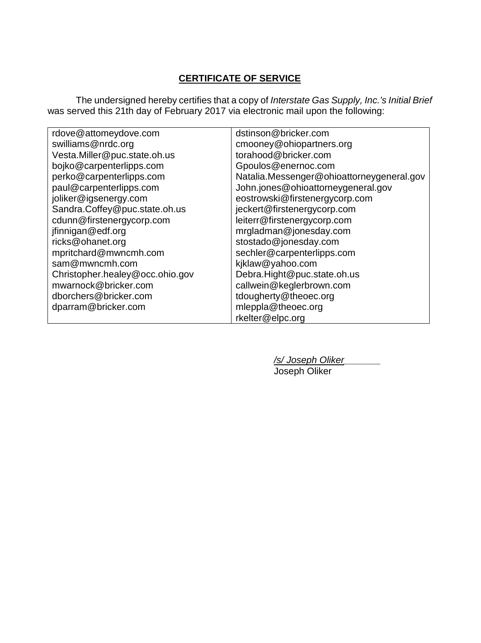# **CERTIFICATE OF SERVICE**

The undersigned hereby certifies that a copy of *Interstate Gas Supply, Inc.'s Initial Brief* was served this 21th day of February 2017 via electronic mail upon the following:

| rdove@attomeydove.com           | dstinson@bricker.com                      |
|---------------------------------|-------------------------------------------|
| swilliams@nrdc.org              | cmooney@ohiopartners.org                  |
| Vesta.Miller@puc.state.oh.us    | torahood@bricker.com                      |
| bojko@carpenterlipps.com        | Gpoulos@enernoc.com                       |
| perko@carpenterlipps.com        | Natalia.Messenger@ohioattorneygeneral.gov |
| paul@carpenterlipps.com         | John.jones@ohioattorneygeneral.gov        |
| joliker@igsenergy.com           | eostrowski@firstenergycorp.com            |
| Sandra.Coffey@puc.state.oh.us   | jeckert@firstenergycorp.com               |
| cdunn@firstenergycorp.com       | leiterr@firstenergycorp.com               |
| jfinnigan@edf.org               | mrgladman@jonesday.com                    |
| ricks@ohanet.org                | stostado@jonesday.com                     |
| mpritchard@mwncmh.com           | sechler@carpenterlipps.com                |
| sam@mwncmh.com                  | kjklaw@yahoo.com                          |
| Christopher.healey@occ.ohio.gov | Debra.Hight@puc.state.oh.us               |
| mwarnock@bricker.com            | callwein@keglerbrown.com                  |
| dborchers@bricker.com           | tdougherty@theoec.org                     |
| dparram@bricker.com             | mleppla@theoec.org                        |
|                                 | rkelter@elpc.org                          |

*/s/ Joseph Oliker\_\_\_\_\_\_\_* Joseph Oliker